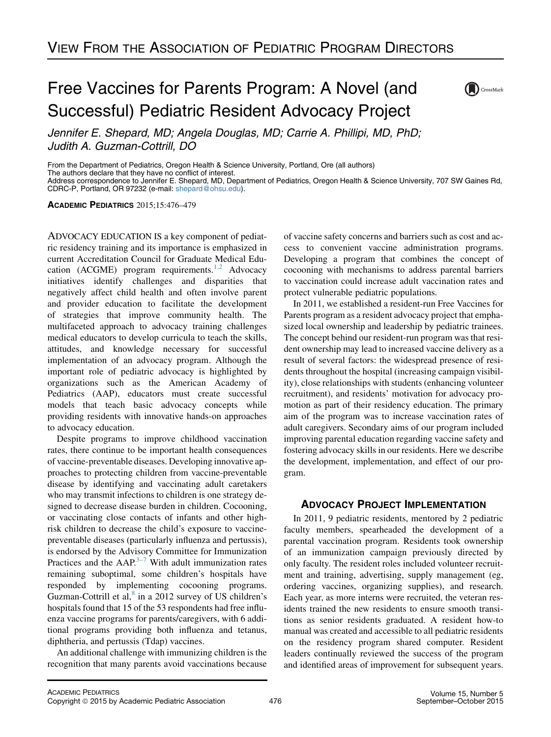# Free Vaccines for Parents Program: A Novel (and Successful) Pediatric Resident Advocacy Project



Jennifer E. Shepard, MD; Angela Douglas, MD; Carrie A. Phillipi, MD, PhD; Judith A. Guzman-Cottrill, DO

From the Department of Pediatrics, Oregon Health & Science University, Portland, Ore (all authors) The authors declare that they have no conflict of interest.

Address correspondence to Jennifer E. Shepard, MD, Department of Pediatrics, Oregon Health & Science University, 707 SW Gaines Rd, CDRC-P, Portland, OR 97232 (e-mail: [shepard@ohsu.edu\)](mailto:shepard@ohsu.edu).

ACADEMIC PEDIATRICS 2015;15:476–479

ADVOCACY EDUCATION IS a key component of pediatric residency training and its importance is emphasized in current Accreditation Council for Graduate Medical Edu-cation (ACGME) program requirements.<sup>[1,2](#page-3-0)</sup> Advocacy initiatives identify challenges and disparities that negatively affect child health and often involve parent and provider education to facilitate the development of strategies that improve community health. The multifaceted approach to advocacy training challenges medical educators to develop curricula to teach the skills, attitudes, and knowledge necessary for successful implementation of an advocacy program. Although the important role of pediatric advocacy is highlighted by organizations such as the American Academy of Pediatrics (AAP), educators must create successful models that teach basic advocacy concepts while providing residents with innovative hands-on approaches to advocacy education.

Despite programs to improve childhood vaccination rates, there continue to be important health consequences of vaccine-preventable diseases. Developing innovative approaches to protecting children from vaccine-preventable disease by identifying and vaccinating adult caretakers who may transmit infections to children is one strategy designed to decrease disease burden in children. Cocooning, or vaccinating close contacts of infants and other highrisk children to decrease the child's exposure to vaccinepreventable diseases (particularly influenza and pertussis), is endorsed by the Advisory Committee for Immunization Practices and the  $AAP$ <sup>[3–7](#page-3-0)</sup> With adult immunization rates remaining suboptimal, some children's hospitals have responded by implementing cocooning programs. Guzman-Cottrill et al, $8$  in a 2012 survey of US children's hospitals found that 15 of the 53 respondents had free influenza vaccine programs for parents/caregivers, with 6 additional programs providing both influenza and tetanus, diphtheria, and pertussis (Tdap) vaccines.

An additional challenge with immunizing children is the recognition that many parents avoid vaccinations because of vaccine safety concerns and barriers such as cost and access to convenient vaccine administration programs. Developing a program that combines the concept of cocooning with mechanisms to address parental barriers to vaccination could increase adult vaccination rates and protect vulnerable pediatric populations.

In 2011, we established a resident-run Free Vaccines for Parents program as a resident advocacy project that emphasized local ownership and leadership by pediatric trainees. The concept behind our resident-run program was that resident ownership may lead to increased vaccine delivery as a result of several factors: the widespread presence of residents throughout the hospital (increasing campaign visibility), close relationships with students (enhancing volunteer recruitment), and residents' motivation for advocacy promotion as part of their residency education. The primary aim of the program was to increase vaccination rates of adult caregivers. Secondary aims of our program included improving parental education regarding vaccine safety and fostering advocacy skills in our residents. Here we describe the development, implementation, and effect of our program.

In 2011, 9 pediatric residents, mentored by 2 pediatric faculty members, spearheaded the development of a parental vaccination program. Residents took ownership of an immunization campaign previously directed by only faculty. The resident roles included volunteer recruitment and training, advertising, supply management (eg, ordering vaccines, organizing supplies), and research. Each year, as more interns were recruited, the veteran residents trained the new residents to ensure smooth transitions as senior residents graduated. A resident how-to manual was created and accessible to all pediatric residents on the residency program shared computer. Resident leaders continually reviewed the success of the program and identified areas of improvement for subsequent years.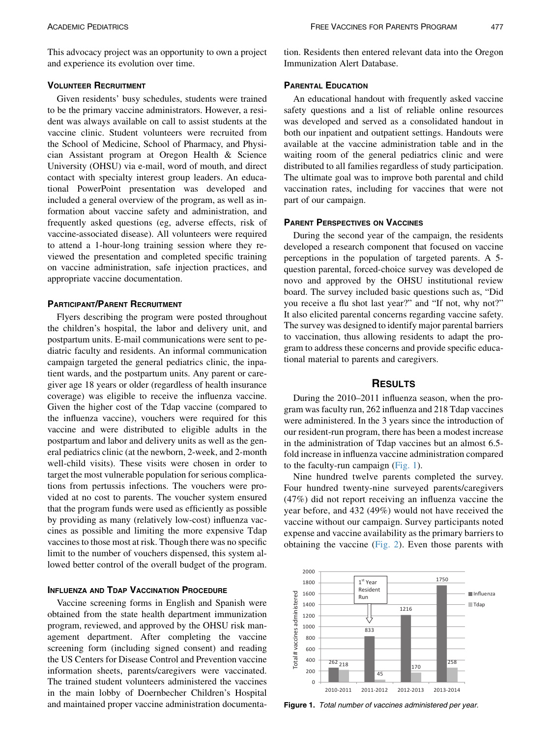This advocacy project was an opportunity to own a project and experience its evolution over time.

Given residents' busy schedules, students were trained to be the primary vaccine administrators. However, a resident was always available on call to assist students at the vaccine clinic. Student volunteers were recruited from the School of Medicine, School of Pharmacy, and Physician Assistant program at Oregon Health & Science University (OHSU) via e-mail, word of mouth, and direct contact with specialty interest group leaders. An educational PowerPoint presentation was developed and included a general overview of the program, as well as information about vaccine safety and administration, and frequently asked questions (eg, adverse effects, risk of vaccine-associated disease). All volunteers were required to attend a 1-hour-long training session where they reviewed the presentation and completed specific training on vaccine administration, safe injection practices, and appropriate vaccine documentation.

### **PARTICIPANT/PARENT RECRUITMENT**

Flyers describing the program were posted throughout the children's hospital, the labor and delivery unit, and postpartum units. E-mail communications were sent to pediatric faculty and residents. An informal communication campaign targeted the general pediatrics clinic, the inpatient wards, and the postpartum units. Any parent or caregiver age 18 years or older (regardless of health insurance coverage) was eligible to receive the influenza vaccine. Given the higher cost of the Tdap vaccine (compared to the influenza vaccine), vouchers were required for this vaccine and were distributed to eligible adults in the postpartum and labor and delivery units as well as the general pediatrics clinic (at the newborn, 2-week, and 2-month well-child visits). These visits were chosen in order to target the most vulnerable population for serious complications from pertussis infections. The vouchers were provided at no cost to parents. The voucher system ensured that the program funds were used as efficiently as possible by providing as many (relatively low-cost) influenza vaccines as possible and limiting the more expensive Tdap vaccines to those most at risk. Though there was no specific limit to the number of vouchers dispensed, this system allowed better control of the overall budget of the program.

# **INFLUENZA AND TDAP VACCINATION PROCEDURE**

Vaccine screening forms in English and Spanish were obtained from the state health department immunization program, reviewed, and approved by the OHSU risk management department. After completing the vaccine screening form (including signed consent) and reading the US Centers for Disease Control and Prevention vaccine information sheets, parents/caregivers were vaccinated. The trained student volunteers administered the vaccines in the main lobby of Doernbecher Children's Hospital and maintained proper vaccine administration documenta-

tion. Residents then entered relevant data into the Oregon Immunization Alert Database.

An educational handout with frequently asked vaccine safety questions and a list of reliable online resources was developed and served as a consolidated handout in both our inpatient and outpatient settings. Handouts were available at the vaccine administration table and in the waiting room of the general pediatrics clinic and were distributed to all families regardless of study participation. The ultimate goal was to improve both parental and child vaccination rates, including for vaccines that were not part of our campaign.

During the second year of the campaign, the residents developed a research component that focused on vaccine perceptions in the population of targeted parents. A 5 question parental, forced-choice survey was developed de novo and approved by the OHSU institutional review board. The survey included basic questions such as, "Did you receive a flu shot last year?" and "If not, why not?" It also elicited parental concerns regarding vaccine safety. The survey was designed to identify major parental barriers to vaccination, thus allowing residents to adapt the program to address these concerns and provide specific educational material to parents and caregivers.

# **RESULTS**

During the 2010–2011 influenza season, when the program was faculty run, 262 influenza and 218 Tdap vaccines were administered. In the 3 years since the introduction of our resident-run program, there has been a modest increase in the administration of Tdap vaccines but an almost 6.5 fold increase in influenza vaccine administration compared to the faculty-run campaign (Fig. 1).

Nine hundred twelve parents completed the survey. Four hundred twenty-nine surveyed parents/caregivers (47%) did not report receiving an influenza vaccine the year before, and 432 (49%) would not have received the vaccine without our campaign. Survey participants noted expense and vaccine availability as the primary barriers to obtaining the vaccine [\(Fig. 2](#page-2-0)). Even those parents with



Figure 1. Total number of vaccines administered per year.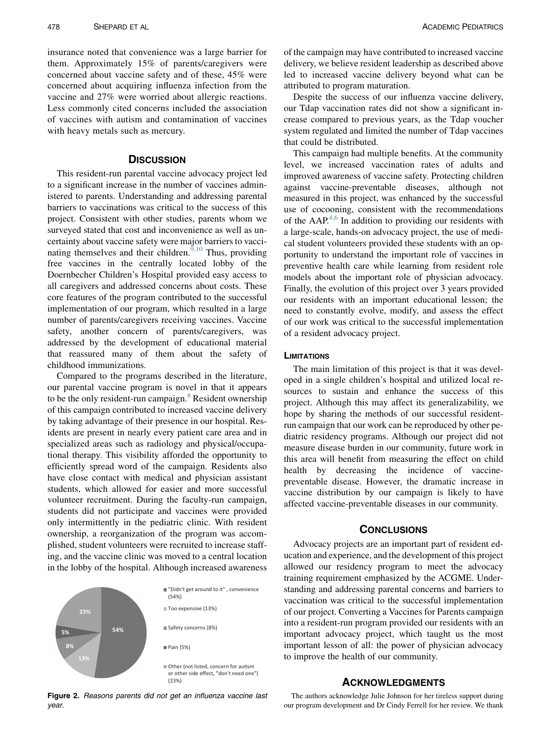<span id="page-2-0"></span>insurance noted that convenience was a large barrier for them. Approximately 15% of parents/caregivers were concerned about vaccine safety and of these, 45% were concerned about acquiring influenza infection from the vaccine and 27% were worried about allergic reactions. Less commonly cited concerns included the association of vaccines with autism and contamination of vaccines with heavy metals such as mercury.

## **DISCUSSION**

This resident-run parental vaccine advocacy project led to a significant increase in the number of vaccines administered to parents. Understanding and addressing parental barriers to vaccinations was critical to the success of this project. Consistent with other studies, parents whom we surveyed stated that cost and inconvenience as well as uncertainty about vaccine safety were major barriers to vacci-nating themselves and their children.<sup>[9,10](#page-3-0)</sup> Thus, providing free vaccines in the centrally located lobby of the Doernbecher Children's Hospital provided easy access to all caregivers and addressed concerns about costs. These core features of the program contributed to the successful implementation of our program, which resulted in a large number of parents/caregivers receiving vaccines. Vaccine safety, another concern of parents/caregivers, was addressed by the development of educational material that reassured many of them about the safety of childhood immunizations.

Compared to the programs described in the literature, our parental vaccine program is novel in that it appears to be the only resident-run campaign.<sup>[8](#page-3-0)</sup> Resident ownership of this campaign contributed to increased vaccine delivery by taking advantage of their presence in our hospital. Residents are present in nearly every patient care area and in specialized areas such as radiology and physical/occupational therapy. This visibility afforded the opportunity to efficiently spread word of the campaign. Residents also have close contact with medical and physician assistant students, which allowed for easier and more successful volunteer recruitment. During the faculty-run campaign, students did not participate and vaccines were provided only intermittently in the pediatric clinic. With resident ownership, a reorganization of the program was accomplished, student volunteers were recruited to increase staffing, and the vaccine clinic was moved to a central location in the lobby of the hospital. Although increased awareness



Figure 2. Reasons parents did not get an influenza vaccine last year.

of the campaign may have contributed to increased vaccine delivery, we believe resident leadership as described above led to increased vaccine delivery beyond what can be attributed to program maturation.

Despite the success of our influenza vaccine delivery, our Tdap vaccination rates did not show a significant increase compared to previous years, as the Tdap voucher system regulated and limited the number of Tdap vaccines that could be distributed.

This campaign had multiple benefits. At the community level, we increased vaccination rates of adults and improved awareness of vaccine safety. Protecting children against vaccine-preventable diseases, although not measured in this project, was enhanced by the successful use of cocooning, consistent with the recommendations of the AAP.<sup>[4,6](#page-3-0)</sup> In addition to providing our residents with a large-scale, hands-on advocacy project, the use of medical student volunteers provided these students with an opportunity to understand the important role of vaccines in preventive health care while learning from resident role models about the important role of physician advocacy. Finally, the evolution of this project over 3 years provided our residents with an important educational lesson; the need to constantly evolve, modify, and assess the effect of our work was critical to the successful implementation of a resident advocacy project.

The main limitation of this project is that it was developed in a single children's hospital and utilized local resources to sustain and enhance the success of this project. Although this may affect its generalizability, we hope by sharing the methods of our successful residentrun campaign that our work can be reproduced by other pediatric residency programs. Although our project did not measure disease burden in our community, future work in this area will benefit from measuring the effect on child health by decreasing the incidence of vaccinepreventable disease. However, the dramatic increase in vaccine distribution by our campaign is likely to have affected vaccine-preventable diseases in our community.

Advocacy projects are an important part of resident education and experience, and the development of this project allowed our residency program to meet the advocacy training requirement emphasized by the ACGME. Understanding and addressing parental concerns and barriers to vaccination was critical to the successful implementation of our project. Converting a Vaccines for Parents campaign into a resident-run program provided our residents with an important advocacy project, which taught us the most important lesson of all: the power of physician advocacy to improve the health of our community.

### **ACKNOWLEDGMENTS**

The authors acknowledge Julie Johnson for her tireless support during our program development and Dr Cindy Ferrell for her review. We thank